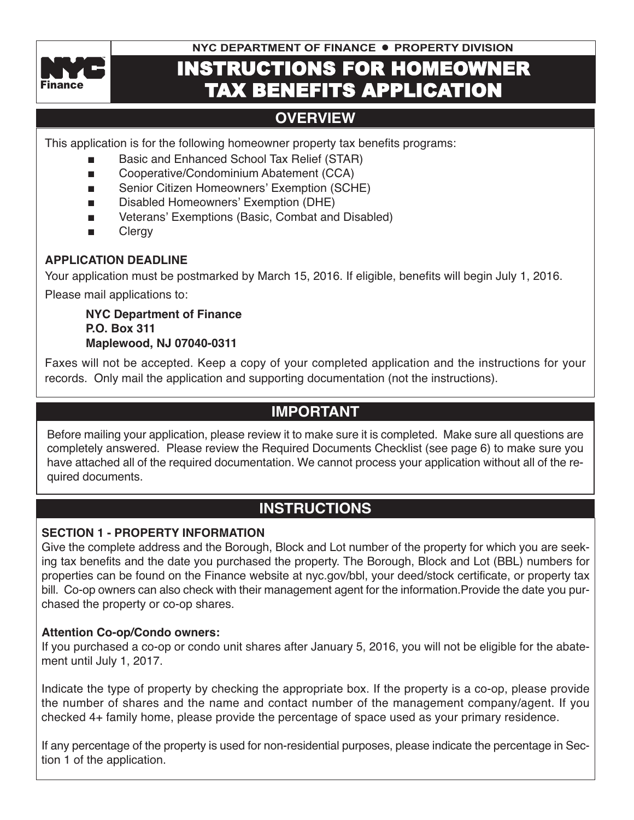

**NYC DEPARTMENT OF FINANCE . PROPERTY DIVISION** 

# INSTRUCTIONS FOR HOMEOWNER TAX BENEFITS APPLICATION

# **overview**

This application is for the following homeowner property tax benefits programs:

- n Basic and Enhanced School Tax Relief (STAR)
- Cooperative/Condominium Abatement (CCA)
- Senior Citizen Homeowners' Exemption (SCHE)
- Disabled Homeowners' Exemption (DHE)
- Veterans' Exemptions (Basic, Combat and Disabled)
- **n** Clergy

# **APPLicAtion DeADLine**

Your application must be postmarked by March 15, 2016. If eligible, benefits will begin July 1, 2016.

Please mail applications to:

**nYc Department of Finance P.o. Box 311 Maplewood, nJ 07040-0311**

Faxes will not be accepted. Keep a copy of your completed application and the instructions for your records. Only mail the application and supporting documentation (not the instructions).

# **iMPortAnt**

Before mailing your application, please review it to make sure it is completed. Make sure all questions are completely answered. Please review the Required Documents Checklist (see page 6) to make sure you have attached all of the required documentation. We cannot process your application without all of the required documents.

# **instructions**

# **section 1 - ProPertY inForMAtion**

Give the complete address and the Borough, Block and Lot number of the property for which you are seeking tax benefits and the date you purchased the property. The Borough, Block and Lot (BBL) numbers for properties can be found on the Finance website at nyc.gov/bbl, your deed/stock certificate, or property tax bill. Co-op owners can also check with their management agent for the information.Provide the date you purchased the property or co-op shares.

# **Attention co-op/condo owners:**

If you purchased a co-op or condo unit shares after January 5, 2016, you will not be eligible for the abatement until July 1, 2017.

Indicate the type of property by checking the appropriate box. If the property is a co-op, please provide the number of shares and the name and contact number of the management company/agent. If you checked 4+ family home, please provide the percentage of space used as your primary residence.

If any percentage of the property is used for non-residential purposes, please indicate the percentage in Section 1 of the application.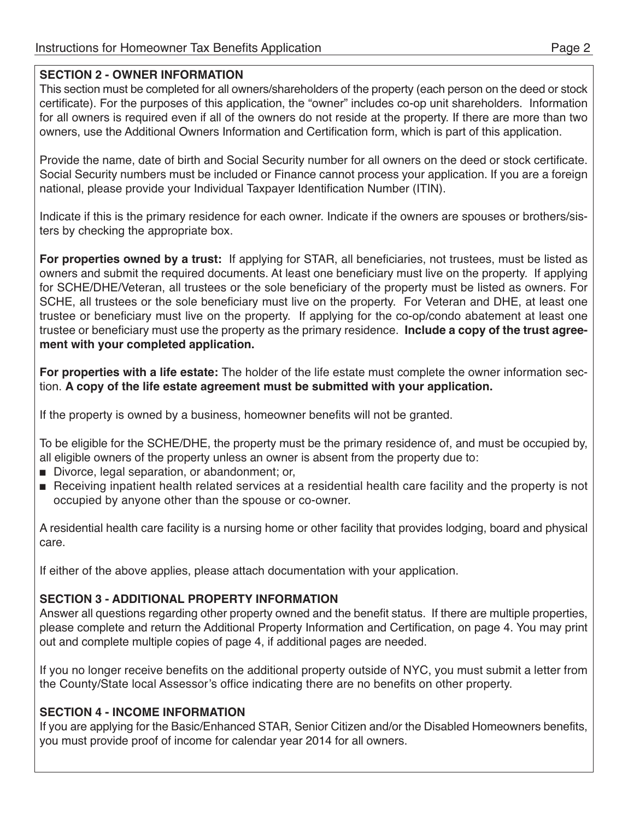### **section 2 - owner inForMAtion**

This section must be completed for all owners/shareholders of the property (each person on the deed or stock certificate). For the purposes of this application, the "owner" includes co-op unit shareholders. Information for all owners is required even if all of the owners do not reside at the property. If there are more than two owners, use the Additional Owners Information and Certification form, which is part of this application.

Provide the name, date of birth and Social Security number for all owners on the deed or stock certificate. Social Security numbers must be included or Finance cannot process your application. If you are a foreign national, please provide your Individual Taxpayer Identification Number (ITIN).

Indicate if this is the primary residence for each owner. Indicate if the owners are spouses or brothers/sisters by checking the appropriate box.

**For properties owned by a trust:** If applying for STAR, all beneficiaries, not trustees, must be listed as owners and submit the required documents. At least one beneficiary must live on the property. If applying for SCHE/DHE/Veteran, all trustees or the sole beneficiary of the property must be listed as owners. For SCHE, all trustees or the sole beneficiary must live on the property. For Veteran and DHE, at least one trustee or beneficiary must live on the property. If applying for the co-op/condo abatement at least one trustee or beneficiary must use the property as the primary residence. **include a copy of the trust agreement with your completed application.**

**For properties with a life estate:** The holder of the life estate must complete the owner information section. **A copy of the life estate agreement must be submitted with your application.**

If the property is owned by a business, homeowner benefits will not be granted.

To be eligible for the SCHE/DHE, the property must be the primary residence of, and must be occupied by, all eligible owners of the property unless an owner is absent from the property due to:

- Divorce, legal separation, or abandonment; or,
- n Receiving inpatient health related services at a residential health care facility and the property is not occupied by anyone other than the spouse or co-owner.

A residential health care facility is a nursing home or other facility that provides lodging, board and physical care.

If either of the above applies, please attach documentation with your application.

# **section 3 - ADDitionAL ProPertY inForMAtion**

Answer all questions regarding other property owned and the benefit status. If there are multiple properties, please complete and return the Additional Property Information and Certification, on page 4. You may print out and complete multiple copies of page 4, if additional pages are needed.

If you no longer receive benefits on the additional property outside of NYC, you must submit a letter from the County/State local Assessor's office indicating there are no benefits on other property.

# **section 4 - incoMe inForMAtion**

If you are applying for the Basic/Enhanced STAR, Senior Citizen and/or the Disabled Homeowners benefits, you must provide proof of income for calendar year 2014 for all owners.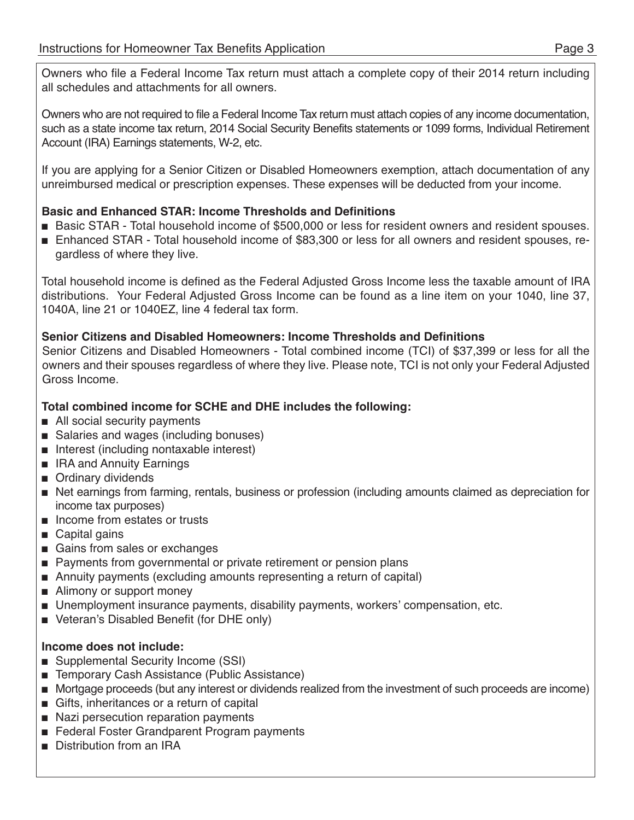Owners who file a Federal Income Tax return must attach a complete copy of their 2014 return including all schedules and attachments for all owners.

Owners who are not required to file a Federal Income Tax return must attach copies of any income documentation, such as a state income tax return, 2014 Social Security Benefits statements or 1099 forms, Individual Retirement Account (IRA) Earnings statements, W-2, etc.

If you are applying for a Senior Citizen or Disabled Homeowners exemption, attach documentation of any unreimbursed medical or prescription expenses. These expenses will be deducted from your income.

# **Basic and enhanced stAr: income thresholds and Definitions**

- Basic STAR Total household income of \$500,000 or less for resident owners and resident spouses.
- n Enhanced STAR Total household income of \$83,300 or less for all owners and resident spouses, regardless of where they live.

Total household income is defined as the Federal Adjusted Gross Income less the taxable amount of IRA distributions. Your Federal Adjusted Gross Income can be found as a line item on your 1040, line 37, 1040A, line 21 or 1040EZ, line 4 federal tax form.

# **senior citizens and Disabled Homeowners: income thresholds and Definitions**

Senior Citizens and Disabled Homeowners - Total combined income (TCI) of \$37,399 or less for all the owners and their spouses regardless of where they live. Please note, TCI is not only your Federal Adjusted Gross Income.

# **total combined income for scHe and DHe includes the following:**

- $\blacksquare$  All social security payments
- Salaries and wages (including bonuses)
- n Interest (including nontaxable interest)
- **n** IRA and Annuity Earnings
- **n** Ordinary dividends
- n Net earnings from farming, rentals, business or profession (including amounts claimed as depreciation for income tax purposes)
- n Income from estates or trusts
- $\Box$  Capital gains
- Gains from sales or exchanges
- Payments from governmental or private retirement or pension plans
- Annuity payments (excluding amounts representing a return of capital)
- Alimony or support money
- Unemployment insurance payments, disability payments, workers' compensation, etc.
- Veteran's Disabled Benefit (for DHE only)

# **income does not include:**

- Supplemental Security Income (SSI)
- Temporary Cash Assistance (Public Assistance)
- n Mortgage proceeds (but any interest or dividends realized from the investment of such proceeds are income)
- $\blacksquare$  Gifts, inheritances or a return of capital
- Nazi persecution reparation payments
- Federal Foster Grandparent Program payments
- Distribution from an IRA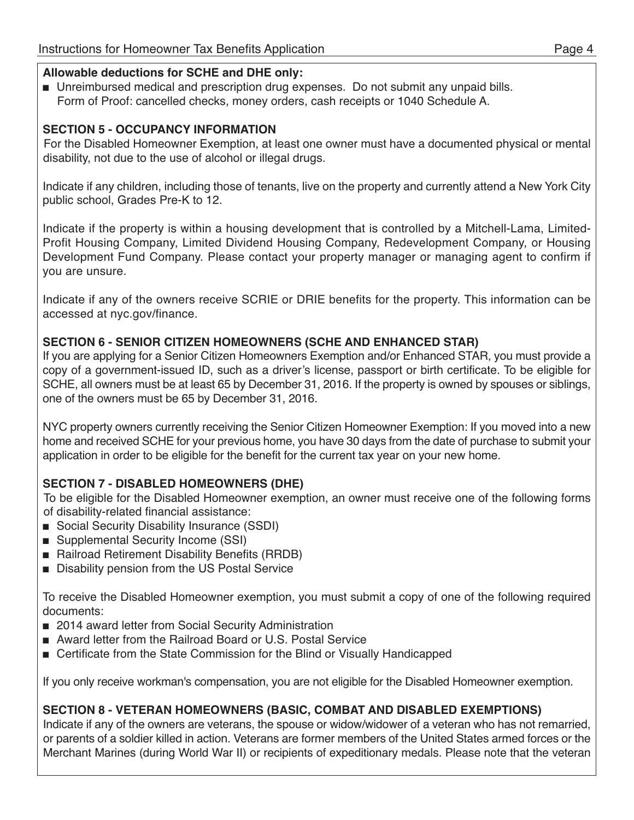### **Allowable deductions for scHe and DHe only:**

n Unreimbursed medical and prescription drug expenses. Do not submit any unpaid bills. Form of Proof: cancelled checks, money orders, cash receipts or 1040 Schedule A.

# **section 5 - occuPAncY inForMAtion**

For the Disabled Homeowner Exemption, at least one owner must have a documented physical or mental disability, not due to the use of alcohol or illegal drugs.

Indicate if any children, including those of tenants, live on the property and currently attend a New York City public school, Grades Pre-K to 12.

Indicate if the property is within a housing development that is controlled by a Mitchell-Lama, Limited-Profit Housing Company, Limited Dividend Housing Company, Redevelopment Company, or Housing Development Fund Company. Please contact your property manager or managing agent to confirm if you are unsure.

Indicate if any of the owners receive SCRIE or DRIE benefits for the property. This information can be accessed at nyc.gov/finance.

# **section 6 - senior citiZen HoMeowners (scHe AnD enHAnceD stAr)**

If you are applying for a Senior Citizen Homeowners Exemption and/or Enhanced STAR, you must provide a copy of a government-issued ID, such as a driver's license, passport or birth certificate. To be eligible for SCHE, all owners must be at least 65 by December 31, 2016. If the property is owned by spouses or siblings, one of the owners must be 65 by December 31, 2016.

NYC property owners currently receiving the Senior Citizen Homeowner Exemption: If you moved into a new home and received SCHE for your previous home, you have 30 days from the date of purchase to submit your application in order to be eligible for the benefit for the current tax year on your new home.

# **section 7 - DisABLeD HoMeowners (DHe)**

To be eligible for the Disabled Homeowner exemption, an owner must receive one of the following forms of disability-related financial assistance:

- Social Security Disability Insurance (SSDI)
- Supplemental Security Income (SSI)
- Railroad Retirement Disability Benefits (RRDB)
- Disability pension from the US Postal Service

To receive the Disabled Homeowner exemption, you must submit a copy of one of the following required documents:

- 2014 award letter from Social Security Administration
- Award letter from the Railroad Board or U.S. Postal Service
- Certificate from the State Commission for the Blind or Visually Handicapped

If you only receive workman's compensation, you are not eligible for the Disabled Homeowner exemption.

# **section 8 - veterAn HoMeowners (BAsic, coMBAt AnD DisABLeD exeMPtions)**

Indicate if any of the owners are veterans, the spouse or widow/widower of a veteran who has not remarried, or parents of a soldier killed in action. Veterans are former members of the United States armed forces or the Merchant Marines (during World War II) or recipients of expeditionary medals. Please note that the veteran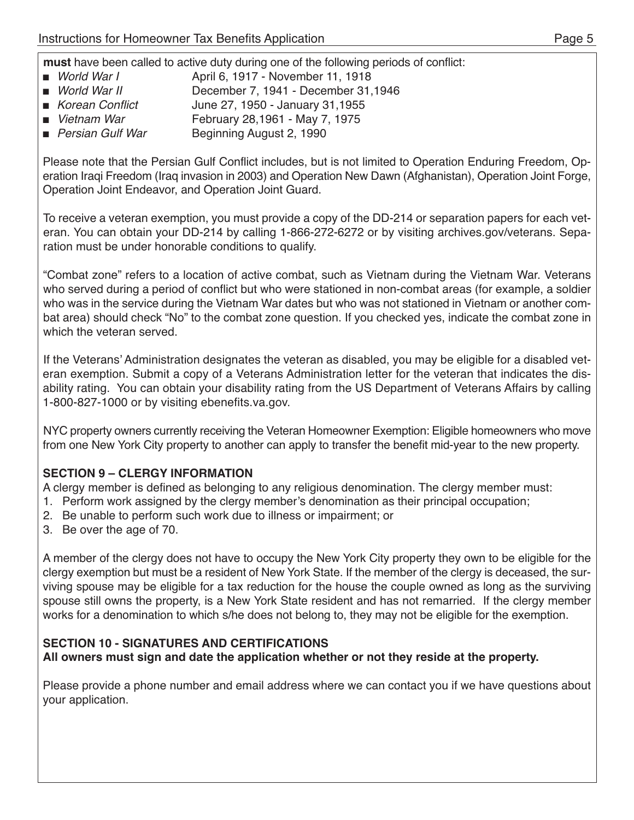**must** have been called to active duty during one of the following periods of conflict:

- *World War I* April 6, 1917 November 11, 1918
- *World War II* December 7, 1941 December 31,1946
- *Korean Conflict* June 27, 1950 January 31,1955
- *Vietnam War* February 28,1961 May 7, 1975
- *Persian Gulf War* Beginning August 2, 1990

Please note that the Persian Gulf Conflict includes, but is not limited to Operation Enduring Freedom, Operation Iraqi Freedom (Iraq invasion in 2003) and Operation New Dawn (Afghanistan), Operation Joint Forge, Operation Joint Endeavor, and Operation Joint Guard.

To receive a veteran exemption, you must provide a copy of the DD-214 or separation papers for each veteran. You can obtain your DD-214 by calling 1-866-272-6272 or by visiting archives.gov/veterans. Separation must be under honorable conditions to qualify.

"Combat zone" refers to a location of active combat, such as Vietnam during the Vietnam War. Veterans who served during a period of conflict but who were stationed in non-combat areas (for example, a soldier who was in the service during the Vietnam War dates but who was not stationed in Vietnam or another combat area) should check "No" to the combat zone question. If you checked yes, indicate the combat zone in which the veteran served.

If the Veterans' Administration designates the veteran as disabled, you may be eligible for a disabled veteran exemption. Submit a copy of a Veterans Administration letter for the veteran that indicates the disability rating. You can obtain your disability rating from the US Department of Veterans Affairs by calling 1-800-827-1000 or by visiting ebenefits.va.gov.

NYC property owners currently receiving the Veteran Homeowner Exemption: Eligible homeowners who move from one New York City property to another can apply to transfer the benefit mid-year to the new property.

# **section 9 – cLerGY inForMAtion**

A clergy member is defined as belonging to any religious denomination. The clergy member must:

- 1. Perform work assigned by the clergy member's denomination as their principal occupation;
- 2. Be unable to perform such work due to illness or impairment; or
- 3. Be over the age of 70.

A member of the clergy does not have to occupy the New York City property they own to be eligible for the clergy exemption but must be a resident of New York State. If the member of the clergy is deceased, the surviving spouse may be eligible for a tax reduction for the house the couple owned as long as the surviving spouse still owns the property, is a New York State resident and has not remarried. If the clergy member works for a denomination to which s/he does not belong to, they may not be eligible for the exemption.

# **section 10 - siGnAtures AnD certiFicAtions**

**All owners must sign and date the application whether or not they reside at the property.**

Please provide a phone number and email address where we can contact you if we have questions about your application.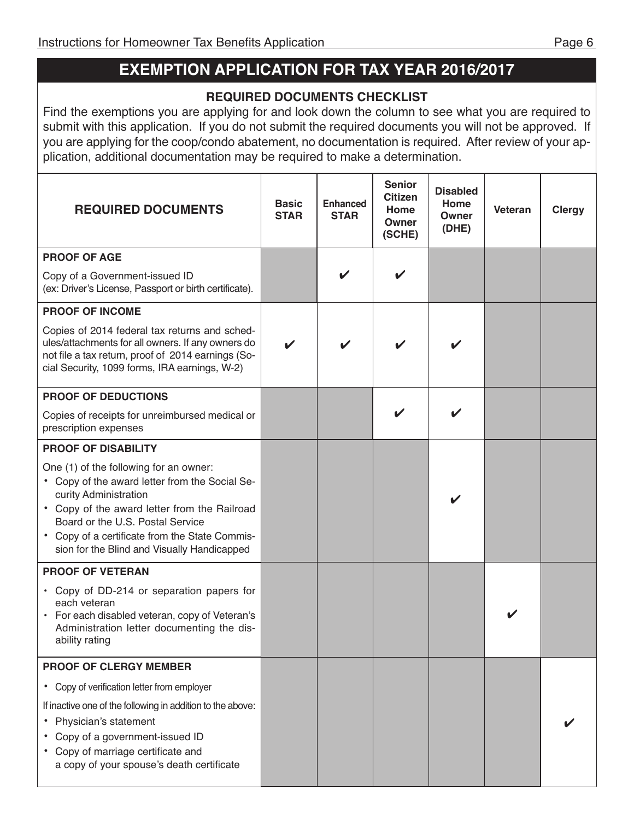# **exeMPtion APPLicAtion For tAx YeAr 2016/2017**

# **requireD DocuMents cHecKList**

Find the exemptions you are applying for and look down the column to see what you are required to submit with this application. If you do not submit the required documents you will not be approved. If you are applying for the coop/condo abatement, no documentation is required. After review of your application, additional documentation may be required to make a determination.

| <b>REQUIRED DOCUMENTS</b>                                                                                                                                                                                                                                                                              | <b>Basic</b><br><b>STAR</b> | <b>Enhanced</b><br><b>STAR</b> | <b>Senior</b><br><b>Citizen</b><br>Home<br>Owner<br>(SCHE) | <b>Disabled</b><br>Home<br>Owner<br>(DHE) | Veteran | <b>Clergy</b> |
|--------------------------------------------------------------------------------------------------------------------------------------------------------------------------------------------------------------------------------------------------------------------------------------------------------|-----------------------------|--------------------------------|------------------------------------------------------------|-------------------------------------------|---------|---------------|
| <b>PROOF OF AGE</b>                                                                                                                                                                                                                                                                                    |                             |                                |                                                            |                                           |         |               |
| Copy of a Government-issued ID<br>(ex: Driver's License, Passport or birth certificate).                                                                                                                                                                                                               |                             |                                | V                                                          |                                           |         |               |
| <b>PROOF OF INCOME</b>                                                                                                                                                                                                                                                                                 |                             |                                |                                                            |                                           |         |               |
| Copies of 2014 federal tax returns and sched-<br>ules/attachments for all owners. If any owners do<br>not file a tax return, proof of 2014 earnings (So-<br>cial Security, 1099 forms, IRA earnings, W-2)                                                                                              | ✔                           | ✓                              |                                                            |                                           |         |               |
| <b>PROOF OF DEDUCTIONS</b>                                                                                                                                                                                                                                                                             |                             |                                |                                                            |                                           |         |               |
| Copies of receipts for unreimbursed medical or<br>prescription expenses                                                                                                                                                                                                                                |                             |                                |                                                            |                                           |         |               |
| <b>PROOF OF DISABILITY</b>                                                                                                                                                                                                                                                                             |                             |                                |                                                            |                                           |         |               |
| One (1) of the following for an owner:<br>• Copy of the award letter from the Social Se-<br>curity Administration<br>• Copy of the award letter from the Railroad<br>Board or the U.S. Postal Service<br>• Copy of a certificate from the State Commis-<br>sion for the Blind and Visually Handicapped |                             |                                |                                                            |                                           |         |               |
| <b>PROOF OF VETERAN</b>                                                                                                                                                                                                                                                                                |                             |                                |                                                            |                                           |         |               |
| • Copy of DD-214 or separation papers for<br>each veteran<br>• For each disabled veteran, copy of Veteran's<br>Administration letter documenting the dis-<br>ability rating                                                                                                                            |                             |                                |                                                            |                                           |         |               |
| <b>PROOF OF CLERGY MEMBER</b>                                                                                                                                                                                                                                                                          |                             |                                |                                                            |                                           |         |               |
| Copy of verification letter from employer<br>$\bullet$                                                                                                                                                                                                                                                 |                             |                                |                                                            |                                           |         |               |
| If inactive one of the following in addition to the above:<br>Physician's statement<br>Copy of a government-issued ID<br>• Copy of marriage certificate and<br>a copy of your spouse's death certificate                                                                                               |                             |                                |                                                            |                                           |         |               |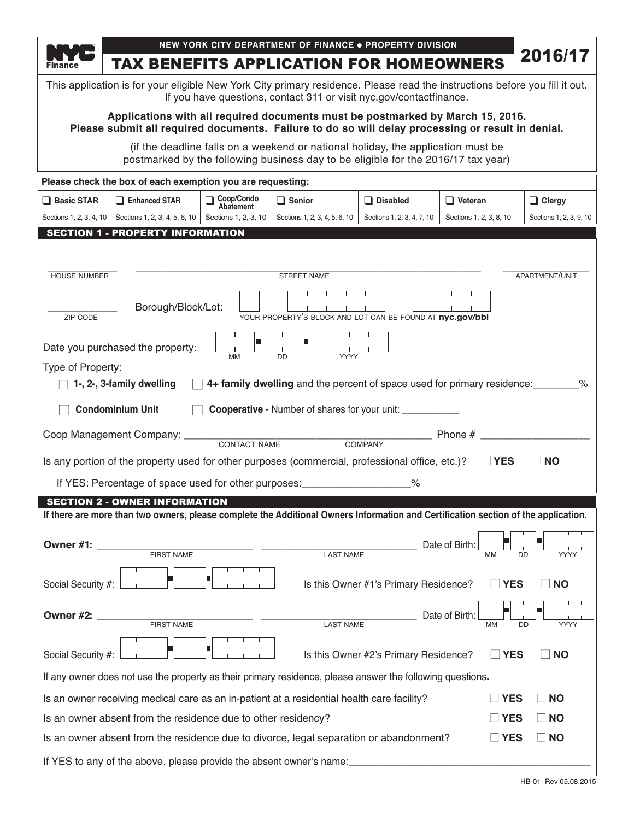| <b>Finance</b>     | <b>TAX BENEFITS APPLICATION FOR HOMEOWNERS</b>                                                                                                                                      |                         | NEW YORK CITY DEPARTMENT OF FINANCE . PROPERTY DIVISION                                                                                                               |                                       |                         | 2016/17                   |
|--------------------|-------------------------------------------------------------------------------------------------------------------------------------------------------------------------------------|-------------------------|-----------------------------------------------------------------------------------------------------------------------------------------------------------------------|---------------------------------------|-------------------------|---------------------------|
|                    | This application is for your eligible New York City primary residence. Please read the instructions before you fill it out.                                                         |                         | If you have questions, contact 311 or visit nyc.gov/contactfinance.                                                                                                   |                                       |                         |                           |
|                    | Applications with all required documents must be postmarked by March 15, 2016.<br>Please submit all required documents. Failure to do so will delay processing or result in denial. |                         |                                                                                                                                                                       |                                       |                         |                           |
|                    |                                                                                                                                                                                     |                         | (if the deadline falls on a weekend or national holiday, the application must be<br>postmarked by the following business day to be eligible for the 2016/17 tax year) |                                       |                         |                           |
|                    | Please check the box of each exemption you are requesting:                                                                                                                          |                         |                                                                                                                                                                       |                                       |                         |                           |
| Basic STAR         | <b>Enhanced STAR</b>                                                                                                                                                                | Coop/Condo<br>Abatement | $\Box$ Senior                                                                                                                                                         | $\Box$ Disabled                       | $\Box$ Veteran          | $\Box$ Clergy             |
|                    | Sections 1, 2, 3, 4, 10   Sections 1, 2, 3, 4, 5, 6, 10                                                                                                                             | Sections 1, 2, 3, 10    | Sections 1, 2, 3, 4, 5, 6, 10                                                                                                                                         | Sections 1, 2, 3, 4, 7, 10            | Sections 1, 2, 3, 8, 10 | Sections 1, 2, 3, 9, 10   |
|                    | <b>SECTION 1 - PROPERTY INFORMATION</b>                                                                                                                                             |                         |                                                                                                                                                                       |                                       |                         |                           |
|                    |                                                                                                                                                                                     |                         |                                                                                                                                                                       |                                       |                         |                           |
| HOUSE NUMBER       |                                                                                                                                                                                     |                         | STREET NAME                                                                                                                                                           |                                       |                         | APARTMENT/UNIT            |
| ZIP CODE           | Borough/Block/Lot:                                                                                                                                                                  |                         | YOUR PROPERTY'S BLOCK AND LOT CAN BE FOUND AT nyc.gov/bbl                                                                                                             |                                       |                         |                           |
|                    |                                                                                                                                                                                     | п                       | п                                                                                                                                                                     |                                       |                         |                           |
|                    | Date you purchased the property:                                                                                                                                                    | MM                      | <b>YYYY</b><br><b>DD</b>                                                                                                                                              |                                       |                         |                           |
| Type of Property:  | 1-, 2-, 3-family dwelling                                                                                                                                                           |                         | 4+ family dwelling and the percent of space used for primary residence:                                                                                               |                                       |                         | %                         |
|                    |                                                                                                                                                                                     |                         |                                                                                                                                                                       |                                       |                         |                           |
|                    | <b>Condominium Unit</b>                                                                                                                                                             |                         | <b>Cooperative</b> - Number of shares for your unit: __________________________________                                                                               |                                       |                         |                           |
|                    | Coop Management Company: CONTACT NAME COMPANY                                                                                                                                       |                         |                                                                                                                                                                       |                                       | Phone #                 |                           |
|                    | Is any portion of the property used for other purposes (commercial, professional office, etc.)? $\Box$ YES                                                                          |                         |                                                                                                                                                                       |                                       |                         | $\mathbf{L}$<br><b>NO</b> |
|                    |                                                                                                                                                                                     |                         |                                                                                                                                                                       | $\frac{1}{2}$                         |                         |                           |
|                    | <b>SECTION 2 - OWNER INFORMATION</b>                                                                                                                                                |                         |                                                                                                                                                                       |                                       |                         |                           |
|                    | If there are more than two owners, please complete the Additional Owners Information and Certification section of the application.                                                  |                         |                                                                                                                                                                       |                                       |                         |                           |
| Owner #1:          |                                                                                                                                                                                     |                         |                                                                                                                                                                       |                                       | Date of Birth           |                           |
|                    | <b>FIRST NAME</b>                                                                                                                                                                   |                         | <b>LAST NAME</b>                                                                                                                                                      |                                       | MM                      | <b>DD</b><br>YYYY         |
| Social Security #: |                                                                                                                                                                                     |                         |                                                                                                                                                                       | Is this Owner #1's Primary Residence? | <b>YES</b>              | <b>NO</b>                 |
| Owner #2:          |                                                                                                                                                                                     |                         |                                                                                                                                                                       |                                       | Date of Birth:          |                           |
|                    | FIRST NAME                                                                                                                                                                          |                         | <b>LAST NAME</b>                                                                                                                                                      |                                       | <b>MM</b>               | YYYY<br>DD                |
| Social Security #: |                                                                                                                                                                                     |                         |                                                                                                                                                                       | Is this Owner #2's Primary Residence? | <b>YES</b>              | <b>NO</b>                 |
|                    | If any owner does not use the property as their primary residence, please answer the following questions.                                                                           |                         |                                                                                                                                                                       |                                       |                         |                           |
|                    | Is an owner receiving medical care as an in-patient at a residential health care facility?                                                                                          |                         |                                                                                                                                                                       |                                       | $\square$ YES           | $\Box$ NO                 |
|                    | Is an owner absent from the residence due to other residency?                                                                                                                       |                         |                                                                                                                                                                       |                                       | $\square$ YES           | $\Box$ NO                 |
|                    | Is an owner absent from the residence due to divorce, legal separation or abandonment?                                                                                              |                         |                                                                                                                                                                       |                                       | $\Box$ YES              | $\Box$ NO                 |
|                    | If YES to any of the above, please provide the absent owner's name:                                                                                                                 |                         |                                                                                                                                                                       |                                       |                         |                           |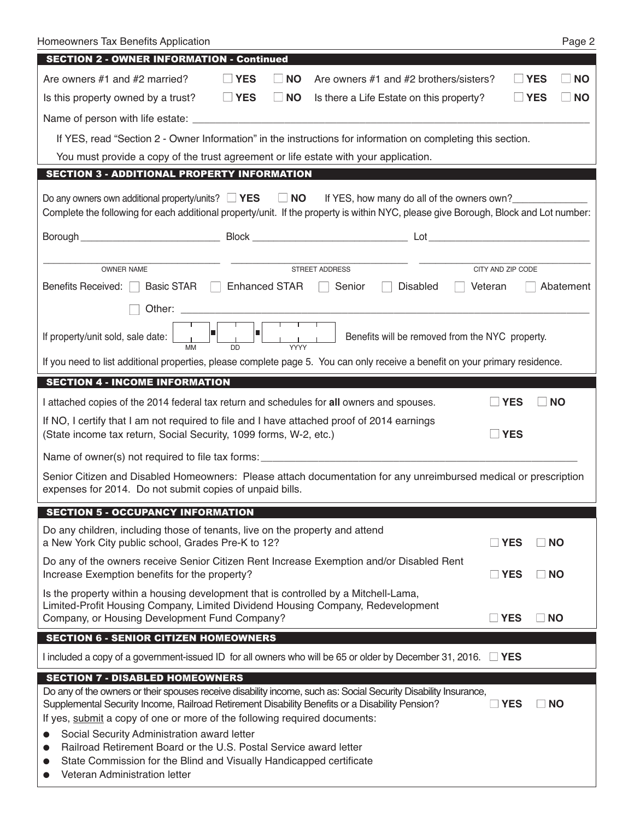| Homeowners Tax Benefits Application<br>Page 2                                                                                                                                                                                                                                   |
|---------------------------------------------------------------------------------------------------------------------------------------------------------------------------------------------------------------------------------------------------------------------------------|
| <b>SECTION 2 - OWNER INFORMATION - Continued</b>                                                                                                                                                                                                                                |
| Are owners #1 and #2 married?<br>$\Box$ YES<br><b>NO</b><br>Are owners #1 and #2 brothers/sisters?<br><b>YES</b><br><b>NO</b><br>$\perp$                                                                                                                                        |
| Is this property owned by a trust?<br>$\Box$ YES<br>$\Box$ NO<br>$\sqcup$ YES<br><b>NO</b><br>Is there a Life Estate on this property?                                                                                                                                          |
|                                                                                                                                                                                                                                                                                 |
| If YES, read "Section 2 - Owner Information" in the instructions for information on completing this section.                                                                                                                                                                    |
| You must provide a copy of the trust agreement or life estate with your application.                                                                                                                                                                                            |
| <b>SECTION 3 - ADDITIONAL PROPERTY INFORMATION</b>                                                                                                                                                                                                                              |
| Do any owners own additional property/units? $\Box$ YES $\Box$ NO If YES, how many do all of the owners own?<br>Complete the following for each additional property/unit. If the property is within NYC, please give Borough, Block and Lot number:                             |
|                                                                                                                                                                                                                                                                                 |
|                                                                                                                                                                                                                                                                                 |
| STREET ADDRESS<br><b>OWNER NAME</b><br>CITY AND ZIP CODE                                                                                                                                                                                                                        |
| Benefits Received:<br>Basic STAR $\Box$ Enhanced STAR<br>$\Box$<br>Senior<br><b>Disabled</b><br>Veteran<br>Abatement                                                                                                                                                            |
|                                                                                                                                                                                                                                                                                 |
| $\overline{\phantom{a}}$<br>$\begin{array}{c c c c c} \hline \cdot & \cdot & \cdot & \cdot \\ \hline \cdot & \cdot & \cdot \\ \hline \text{MM} & \text{DD} & \text{YYYY} & \end{array}$<br>If property/unit sold, sale date:<br>Benefits will be removed from the NYC property. |
| If you need to list additional properties, please complete page 5. You can only receive a benefit on your primary residence.                                                                                                                                                    |
| <b>SECTION 4 - INCOME INFORMATION</b>                                                                                                                                                                                                                                           |
| I attached copies of the 2014 federal tax return and schedules for all owners and spouses.<br><b>YES</b><br><b>NO</b>                                                                                                                                                           |
| If NO, I certify that I am not required to file and I have attached proof of 2014 earnings<br>$\exists$ YES<br>(State income tax return, Social Security, 1099 forms, W-2, etc.)                                                                                                |
|                                                                                                                                                                                                                                                                                 |
| Senior Citizen and Disabled Homeowners: Please attach documentation for any unreimbursed medical or prescription<br>expenses for 2014. Do not submit copies of unpaid bills.                                                                                                    |
| <b>SECTION 5 - OCCUPANCY INFORMATION</b>                                                                                                                                                                                                                                        |
| Do any children, including those of tenants, live on the property and attend<br>a New York City public school, Grades Pre-K to 12?<br>$\square$ YES<br>$\Box$ NO                                                                                                                |
| Do any of the owners receive Senior Citizen Rent Increase Exemption and/or Disabled Rent<br>Increase Exemption benefits for the property?<br>$\Box$ YES<br>$\Box$ NO                                                                                                            |
| Is the property within a housing development that is controlled by a Mitchell-Lama,<br>Limited-Profit Housing Company, Limited Dividend Housing Company, Redevelopment<br>Company, or Housing Development Fund Company?<br>$\square$ YES<br>$\Box$ NO                           |
| <b>SECTION 6 - SENIOR CITIZEN HOMEOWNERS</b>                                                                                                                                                                                                                                    |
| I included a copy of a government-issued ID for all owners who will be 65 or older by December 31, 2016. $\Box$ YES                                                                                                                                                             |
| <b>SECTION 7 - DISABLED HOMEOWNERS</b>                                                                                                                                                                                                                                          |
| Do any of the owners or their spouses receive disability income, such as: Social Security Disability Insurance,<br>Supplemental Security Income, Railroad Retirement Disability Benefits or a Disability Pension?<br>$\square$ YES<br><b>NO</b><br>$\mathbf{L}$                 |
| If yes, submit a copy of one or more of the following required documents:                                                                                                                                                                                                       |
| Social Security Administration award letter                                                                                                                                                                                                                                     |
| Railroad Retirement Board or the U.S. Postal Service award letter<br>0<br>State Commission for the Blind and Visually Handicapped certificate<br>$\bullet$                                                                                                                      |
| Veteran Administration letter                                                                                                                                                                                                                                                   |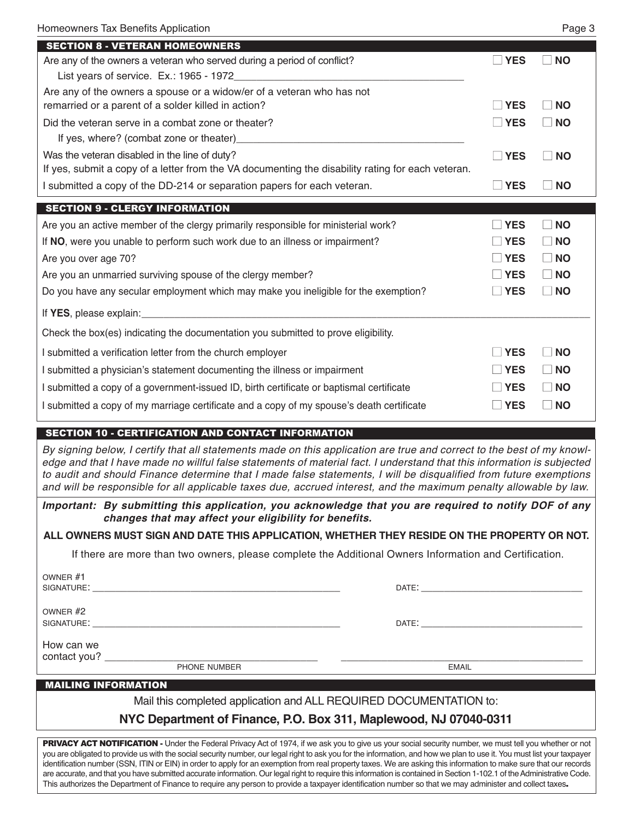| <b>SECTION 8 - VETERAN HOMEOWNERS</b>                                                             |                 |                         |
|---------------------------------------------------------------------------------------------------|-----------------|-------------------------|
| Are any of the owners a veteran who served during a period of conflict?                           | <b>YES</b>      | <b>NO</b>               |
| List years of service. Ex.: 1965 - 1972                                                           |                 |                         |
| Are any of the owners a spouse or a widow/er of a veteran who has not                             |                 |                         |
| remarried or a parent of a solder killed in action?                                               | <b>YES</b>      | <b>NO</b>               |
| Did the veteran serve in a combat zone or theater?                                                | $\sqsupset$ YES | <b>NO</b>               |
|                                                                                                   |                 |                         |
| Was the veteran disabled in the line of duty?                                                     | l IYES          | ∣ INO                   |
| If yes, submit a copy of a letter from the VA documenting the disability rating for each veteran. |                 |                         |
| I submitted a copy of the DD-214 or separation papers for each veteran.                           | <b>I</b> YES    | <b>NO</b>               |
| <b>SECTION 9 - CLERGY INFORMATION</b>                                                             |                 |                         |
| Are you an active member of the clergy primarily responsible for ministerial work?                | <b>YES</b>      | <b>NO</b>               |
| If NO, were you unable to perform such work due to an illness or impairment?                      | <b>TYES</b>     | <b>NO</b>               |
| Are you over age 70?                                                                              | <b>YES</b>      | <b>NO</b>               |
| Are you an unmarried surviving spouse of the clergy member?                                       | $\sqsupset$ YES | <b>NO</b>               |
|                                                                                                   | $\Box$ YES      | $\overline{N}$          |
| Do you have any secular employment which may make you ineligible for the exemption?               |                 |                         |
|                                                                                                   |                 |                         |
| Check the box(es) indicating the documentation you submitted to prove eligibility.                |                 |                         |
| I submitted a verification letter from the church employer                                        | YES             | <b>NO</b>               |
| I submitted a physician's statement documenting the illness or impairment                         | <b>YES</b>      | <b>NO</b>               |
| I submitted a copy of a government-issued ID, birth certificate or baptismal certificate          | <b>YES</b>      | <b>NO</b>               |
| I submitted a copy of my marriage certificate and a copy of my spouse's death certificate         | <b>YES</b>      | $\overline{\mathsf{N}}$ |

#### SECTION 10 - CERTIFICATION AND CONTACT INFORMATION

By signing below, I certify that all statements made on this application are true and correct to the best of my knowledge and that I have made no willful false statements of material fact. I understand that this information is subjected to audit and should Finance determine that I made false statements, I will be disqualified from future exemptions and will be responsible for all applicable taxes due, accrued interest, and the maximum penalty allowable by law.

*Important: By submitting this application, you acknowledge that you are required to notify DOF of any changes that may affect your eligibility for benefits.*

**ALL owners Must siGn AnD DAte tHis APPLicAtion, wHetHer tHeY resiDe on tHe ProPertY or not.**

If there are more than two owners, please complete the Additional Owners Information and Certification.

| OWNER #2<br>SIGNATURE: WE GET A SERVER THAT A STRUCK AND THE STRUCK OF THE STRUCK OF THE STRUCK OF THE STRUCK OF THE STRUCK.<br>DATE: the contract of the contract of the contract of the contract of the contract of the contract of the contract of the contract of the contract of the contract of the contract of the contract of the contract of the cont<br>How can we<br>contact you?<br>PHONE NUMBER<br><b>EMAIL</b> | OWNER #1<br>SIGNATURE: |  |  |
|------------------------------------------------------------------------------------------------------------------------------------------------------------------------------------------------------------------------------------------------------------------------------------------------------------------------------------------------------------------------------------------------------------------------------|------------------------|--|--|
|                                                                                                                                                                                                                                                                                                                                                                                                                              |                        |  |  |
|                                                                                                                                                                                                                                                                                                                                                                                                                              |                        |  |  |
| ---------------------                                                                                                                                                                                                                                                                                                                                                                                                        |                        |  |  |

#### MAILING INFORMATION

Mail this completed application and ALL REQUIRED DOCUMENTATION to:

#### **nYc Department of Finance, P.o. Box 311, Maplewood, nJ 07040-0311**

PRIVACY ACT NOTIFICATION - Under the Federal Privacy Act of 1974, if we ask you to give us your social security number, we must tell you whether or not you are obligated to provide us with the social security number, our legal right to ask you for the information, and how we plan to use it. You must list your taxpayer identification number (SSN, ITIN or EIN) in order to apply for an exemption from real property taxes. We are asking this information to make sure that our records are accurate, and that you have submitted accurate information. Our legal right to require this information is contained in Section 1-102.1 of the Administrative Code. This authorizes the Department of Finance to require any person to provide a taxpayer identification number so that we may administer and collect taxes.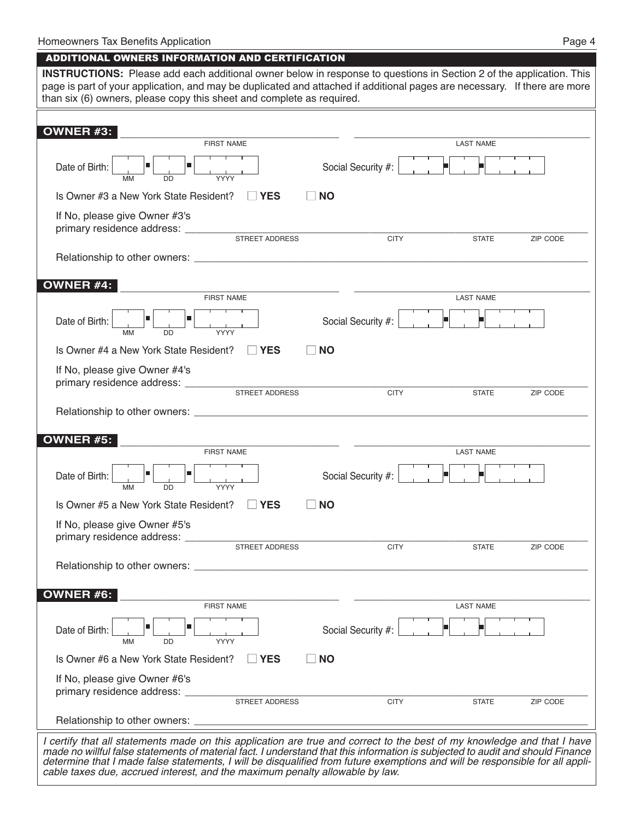#### ADDITIONAL OWNERS INFORMATION AND CERTIFICATION

| <b>INSTRUCTIONS:</b> Please add each additional owner below in response to questions in Section 2 of the application. This<br>page is part of your application, and may be duplicated and attached if additional pages are necessary. If there are more<br>than six (6) owners, please copy this sheet and complete as required. |                    |                  |          |
|----------------------------------------------------------------------------------------------------------------------------------------------------------------------------------------------------------------------------------------------------------------------------------------------------------------------------------|--------------------|------------------|----------|
|                                                                                                                                                                                                                                                                                                                                  |                    |                  |          |
| OWNER #3:<br><b>FIRST NAME</b>                                                                                                                                                                                                                                                                                                   |                    | <b>LAST NAME</b> |          |
|                                                                                                                                                                                                                                                                                                                                  |                    |                  |          |
| ■<br>Date of Birth:<br><b>MM</b><br><b>DD</b><br>YYYY                                                                                                                                                                                                                                                                            | Social Security #: |                  |          |
| Is Owner #3 a New York State Resident?<br>$\Box$ YES                                                                                                                                                                                                                                                                             | <b>NO</b>          |                  |          |
| If No, please give Owner #3's                                                                                                                                                                                                                                                                                                    |                    |                  |          |
| STREET ADDRESS                                                                                                                                                                                                                                                                                                                   | <b>CITY</b>        | <b>STATE</b>     | ZIP CODE |
|                                                                                                                                                                                                                                                                                                                                  |                    |                  |          |
| <b>OWNER #4:</b>                                                                                                                                                                                                                                                                                                                 |                    |                  |          |
| <b>FIRST NAME</b>                                                                                                                                                                                                                                                                                                                |                    | <b>LAST NAME</b> |          |
| Date of Birth:<br><b>MM</b><br><b>YYYY</b><br>DD                                                                                                                                                                                                                                                                                 | Social Security #: |                  |          |
| Is Owner #4 a New York State Resident?<br>$\Box$ YES                                                                                                                                                                                                                                                                             | <b>NO</b>          |                  |          |
| If No, please give Owner #4's                                                                                                                                                                                                                                                                                                    |                    |                  |          |
| primary residence address: _________<br><b>STREET ADDRESS</b>                                                                                                                                                                                                                                                                    | <b>CITY</b>        | <b>STATE</b>     | ZIP CODE |
|                                                                                                                                                                                                                                                                                                                                  |                    |                  |          |
|                                                                                                                                                                                                                                                                                                                                  |                    |                  |          |
| OWNER #5:<br><b>FIRST NAME</b>                                                                                                                                                                                                                                                                                                   |                    | <b>LAST NAME</b> |          |
| п<br>Date of Birth:<br><b>MM</b><br>YYYY<br><b>DD</b>                                                                                                                                                                                                                                                                            | Social Security #: |                  |          |
| Is Owner #5 a New York State Resident?<br><b>IYES</b>                                                                                                                                                                                                                                                                            | <b>NO</b>          |                  |          |
| If No, please give Owner #5's                                                                                                                                                                                                                                                                                                    |                    |                  |          |
| primary residence address: _<br>STREET ADDRESS                                                                                                                                                                                                                                                                                   | <b>CITY</b>        | <b>STATE</b>     | ZIP CODE |
|                                                                                                                                                                                                                                                                                                                                  |                    |                  |          |
|                                                                                                                                                                                                                                                                                                                                  |                    |                  |          |
| <b>OWNER #6:</b>                                                                                                                                                                                                                                                                                                                 |                    |                  |          |
| <b>FIRST NAME</b>                                                                                                                                                                                                                                                                                                                |                    | <b>LAST NAME</b> |          |
| п<br>Date of Birth:<br><b>MM</b><br><b>DD</b><br><b>YYYY</b>                                                                                                                                                                                                                                                                     | Social Security #: |                  |          |
| Is Owner #6 a New York State Resident?<br><b>NES</b>                                                                                                                                                                                                                                                                             | <b>NO</b>          |                  |          |
| If No, please give Owner #6's                                                                                                                                                                                                                                                                                                    |                    |                  |          |
|                                                                                                                                                                                                                                                                                                                                  |                    |                  |          |
|                                                                                                                                                                                                                                                                                                                                  | <b>CITY</b>        | <b>STATE</b>     | ZIP CODE |
|                                                                                                                                                                                                                                                                                                                                  |                    |                  |          |
| I certify that all statements made on this application are true and correct to the best of my knowledge and that I have<br>made no willful false statements of material fact. I understand that this information is subjected to audit and should Finance                                                                        |                    |                  |          |

determine that I made false statements, I will be disqualified from future exemptions and will be responsible for all appli*cable taxes due, accrued interest, and the maximum penalty allowable by law.*